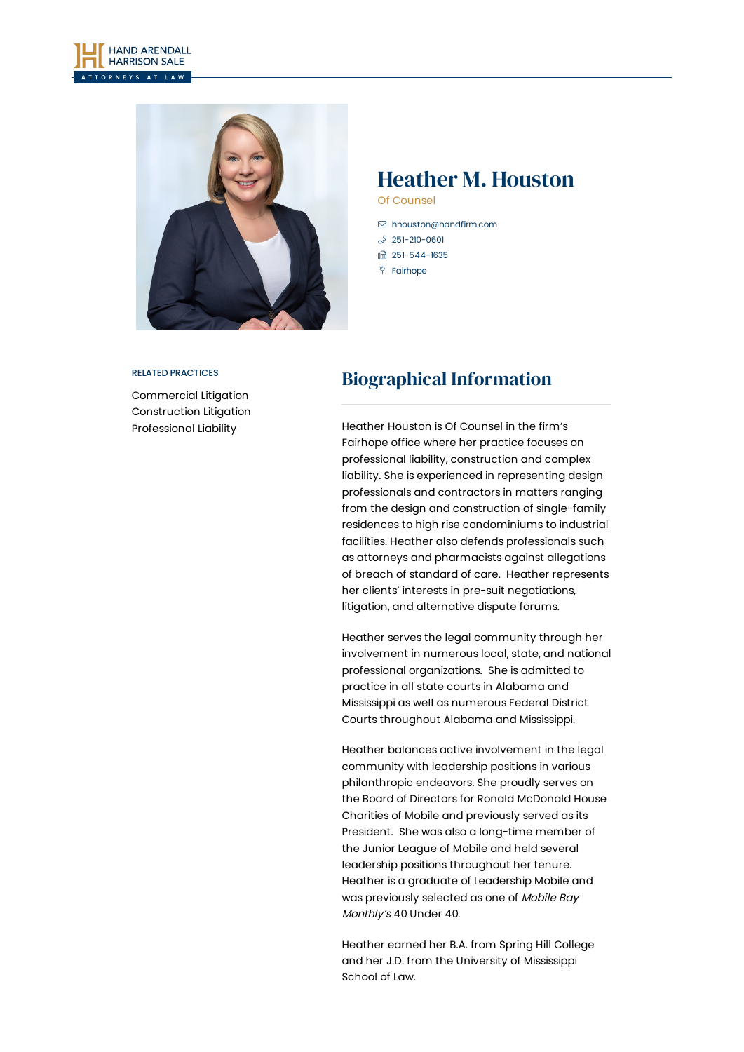



# Heather M. Houston

Of Counsel

- [hhouston@handfirm.com](mailto:hhouston@handfirm.com)
- $251 210 0601$
- □ 251-544-1635
- Fairhope

#### RELATED PRACTICES

[Commercial](https://www.handfirm.com/practices/litigation/commercial-litigation/) Litigation [Construction](https://www.handfirm.com/practices/litigation/construction-litigation/) Litigation [Professional](https://www.handfirm.com/practices/litigation/professional-liability/) Liability

## Biographical Information

Heather Houston is Of Counsel in the firm's Fairhope office where her practice focuses on professional liability, construction and complex liability. She is experienced in representing design professionals and contractors in matters ranging from the design and construction of single-family residences to high rise condominiums to industrial facilities. Heather also defends professionals such as attorneys and pharmacists against allegations of breach of standard of care. Heather represents her clients' interests in pre-suit negotiations, litigation, and alternative dispute forums.

Heather serves the legal community through her involvement in numerous local, state, and national professional organizations. She is admitted to practice in all state courts in Alabama and Mississippi as well as numerous Federal District Courts throughout Alabama and Mississippi.

Heather balances active involvement in the legal community with leadership positions in various philanthropic endeavors. She proudly serves on the Board of Directors for Ronald McDonald House Charities of Mobile and previously served as its President. She was also a long-time member of the Junior League of Mobile and held several leadership positions throughout her tenure. Heather is a graduate of Leadership Mobile and was previously selected as one of Mobile Bay Monthly's 40 Under 40.

Heather earned her B.A. from Spring Hill College and her J.D. from the University of Mississippi School of Law.